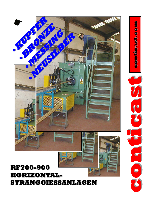## **RF700-900 HORIZONTAL HORIZONTAL-STRANGGIESSANLAGEN STRANGGIESSANLAGEN**



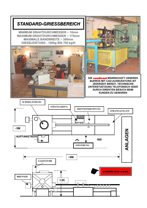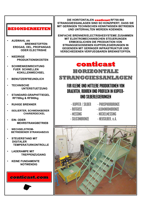

- **AUSWAHL AN BRENNSTOFFEN: ERDGAS, OEL, PROPANGAS ODER ELECTRISHE**
- **NIEDRIGE PRODUKTIONSKOSTEN**
- **SCHWENKEINRICHTUNG FUER SCHNELLEN KOKILLENWECHSEL**
- **BENUTZERFREUNDLICH**
- **TECHNISCHE UNTERSTUETZUNG**
- **STANDARD-GRAPHITTIEGEL RF700kg & RF900kg**
- **RUHIGE BRENNER**
- **ISOLIERTER, SCHWENKBERER CHARIERDECKEL**
- **EIN-ODER MEHRSTRANGBETRIEB**
- **WECHSELSTROM-BETRIEBENER STRANGABZUG**
- **STEUERSTAND MIT DIGITALER TEMPERATURKONTROLLE**
- **I ADFRAMPF MIT TREPPENZUGANG**
- **KEINE FUNDAMENTE NOTWENDIG**

conticast.com

DIE HORITONTALEN conticast RF700-900 STRANGGIESSANLAGEN SIND SO KONZIPIERT, DASS SIE MIT GERINGEN TECHNISCHEN KENNTNISSEN BETRIEBEN UND UNTERHALTEN WERDEN KOENNEN.

EINFACHE BRENNER/ELECTRISHESYSTEME ZUSAMMEN MIT ELEKTROMECHANISCHEN STEUERUNGEN **ERMOEGLICHEN DIE PRODUKTION VON** STRANGGEGOSSENEN KUPFERLEGIERUNGEN IN **GEGENDEN MIT GERINGER INFRASTRUKTUR UND VERSCHIEDENEN VERFUEGBAREN BRENNSTOFFEN.** 

## conticast HORIZONTALE **STRANGGIESSANLAGEN FUR KLEINE UND MITTLERE PRODUKTIONEN VON**

## **DRAEHTEN, ROHREN UND PROFILEN IN KUPFER-UND SILBERLEGIERUNGEN**

- KUPFER / SILBER

- ROTGUSS
- MESSING
- 
- SILICONBRON7F
- **PHOSPHORRRON7F** - ALUMINIUMBRONZE
- NICKELMESSING
- NEUSILBER, U.A.